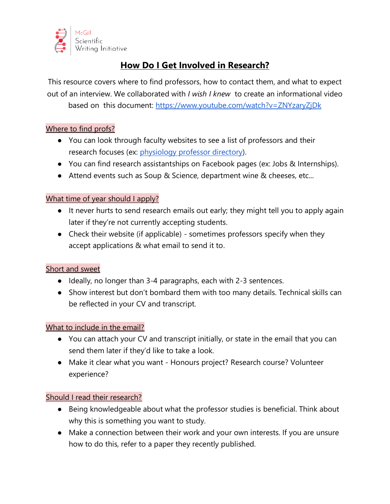

# **How Do I Get Involved in Research?**

This resource covers where to find professors, how to contact them, and what to expect out of an interview. We collaborated with *I wish I knew* to create an informational video based on this document:<https://www.youtube.com/watch?v=ZNYzaryZjDk>

# Where to find profs?

- You can look through faculty websites to see a list of professors and their research focuses (ex: [physiology professor directory\)](https://www.mcgill.ca/physiology/directory/core-faculty).
- You can find research assistantships on Facebook pages (ex: Jobs & Internships).
- Attend events such as Soup & Science, department wine & cheeses, etc...

# What time of year should I apply?

- It never hurts to send research emails out early; they might tell you to apply again later if they're not currently accepting students.
- Check their website (if applicable) sometimes professors specify when they accept applications & what email to send it to.

### Short and sweet

- Ideally, no longer than 3-4 paragraphs, each with 2-3 sentences.
- Show interest but don't bombard them with too many details. Technical skills can be reflected in your CV and transcript.

### What to include in the email?

- You can attach your CV and transcript initially, or state in the email that you can send them later if they'd like to take a look.
- Make it clear what you want Honours project? Research course? Volunteer experience?

### Should I read their research?

- Being knowledgeable about what the professor studies is beneficial. Think about why this is something you want to study.
- Make a connection between their work and your own interests. If you are unsure how to do this, refer to a paper they recently published.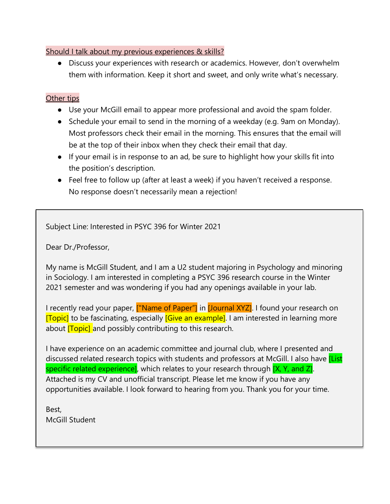## Should I talk about my previous experiences & skills?

● Discuss your experiences with research or academics. However, don't overwhelm them with information. Keep it short and sweet, and only write what's necessary.

# Other tips

- Use your McGill email to appear more professional and avoid the spam folder.
- Schedule your email to send in the morning of a weekday (e.g. 9am on Monday). Most professors check their email in the morning. This ensures that the email will be at the top of their inbox when they check their email that day.
- If your email is in response to an ad, be sure to highlight how your skills fit into the position's description.
- Feel free to follow up (after at least a week) if you haven't received a response. No response doesn't necessarily mean a rejection!

Subject Line: Interested in PSYC 396 for Winter 2021

Dear Dr./Professor,

My name is McGill Student, and I am a U2 student majoring in Psychology and minoring in Sociology. I am interested in completing a PSYC 396 research course in the Winter 2021 semester and was wondering if you had any openings available in your lab.

I recently read your paper, **["Name of Paper"**] in **[Journal XYZ]**. I found your research on [Topic] to be fascinating, especially **[Give an example]**. I am interested in learning more about **[Topic]** and possibly contributing to this research.

I have experience on an academic committee and journal club, where I presented and discussed related research topics with students and professors at McGill. I also have *[List* specific related experience], which relates to your research through [X, Y, and Z]. Attached is my CV and unofficial transcript. Please let me know if you have any opportunities available. I look forward to hearing from you. Thank you for your time.

Best, McGill Student